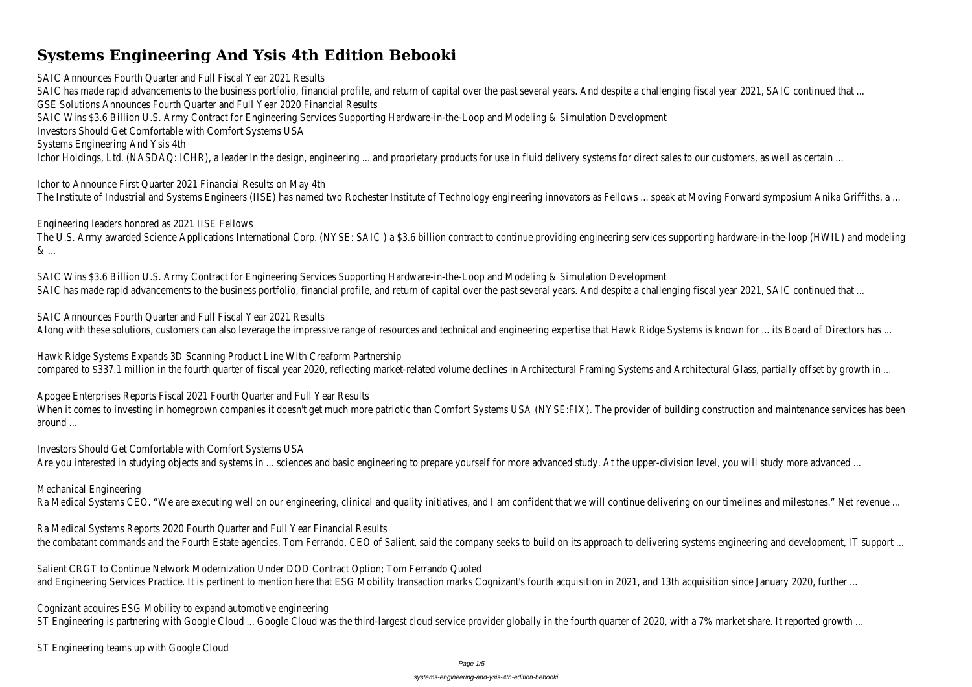# **Systems Engineering And Ysis 4th Edition Bebooki**

SAIC Announces Fourth Quarter and Full Fiscal Year 2021 Results SAIC has made rapid advancements to the business portfolio, financial profile, and return of capital over the past several years. And despite a challenging fiscal year 2021 GSE Solutions Announces Fourth Quarter and Full Year 2020 Financial Results SAIC Wins \$3.6 Billion U.S. Army Contract for Engineering Services Supporting Hardware-in-the-Loop and Modeling & Simulation Developmer Investors Should Get Comfortable with Comfort Systems US Systems Engineering And Ysis 4th Ichor Holdings, Ltd. (NASDAQ: ICHR), a leader in the design, engineering ... and proprietary products for use in fluid delivery systems for direct sales to our customers, as v

Ichor to Announce First Quarter 2021 Financial Results on May 4th The Institute of Industrial and Systems Engineers (IISE) has named two Rochester Institute of Technology engineering innovators as Fellows ... speak at Moving Forward s

The U.S. Army awarded Science Applications International Corp. (NYSE: SAIC) a \$3.6 billion contract to continue providing engineering services supporting hardware-in-the & ...

SAIC Wins \$3.6 Billion U.S. Army Contract for Engineering Services Supporting Hardware-in-the-Loop and Modeling & Simulation Developmer SAIC has made rapid advancements to the business portfolio, financial profile, and return of capital over the past several years. And despite a challenging fiscal year 2021

SAIC Announces Fourth Quarter and Full Fiscal Year 2021 Results Along with these solutions, customers can also leverage the impressive range of resources and technical and engineering expertise that Hawk Ridge Systems is known for ... its Board of the two metals and technical and engin

Hawk Ridge Systems Expands 3D Scanning Product Line With Creaform Partnership compared to \$337.1 million in the fourth quarter of fiscal year 2020, reflecting market-related volume declines in Architectural Framing Systems and Architectural Glass,

Engineering leaders honored as 2021 IISE Fellows

Apogee Enterprises Reports Fiscal 2021 Fourth Quarter and Full Year Results When it comes to investing in homegrown companies it doesn't get much more patriotic than Comfort Systems USA (NYSE:FIX). The provider of building construction and around ...

Investors Should Get Comfortable with Comfort Systems US

Are you interested in studying objects and systems in ... sciences and basic engineering to prepare yourself for more advanced study. At the upper-division level, you will

Ra Medical Systems Reports 2020 Fourth Quarter and Full Year Financial Results the combatant commands and the Fourth Estate agencies. Tom Ferrando, CEO of Salient, said the company seeks to build on its approach to delivering systems engineeri

Salient CRGT to Continue Network Modernization Under DOD Contract Option; Tom Ferrando Quote and Engineering Services Practice. It is pertinent to mention here that ESG Mobility transaction marks Cognizant's fourth acquisition in 2021, and 13th acquisition since .

Cognizant acquires ESG Mobility to expand automotive engineering ST Engineering is partnering with Google Cloud ... Google Cloud was the third-largest cloud service provider globally in the fourth quarter of 2020, with a 7% market sha

ST Engineering teams up with Google Cloud

Mechanical Engineering

Ra Medical Systems CEO. "We are executing well on our engineering, clinical and quality initiatives, and I am confident that we will continue delivering on our timelines an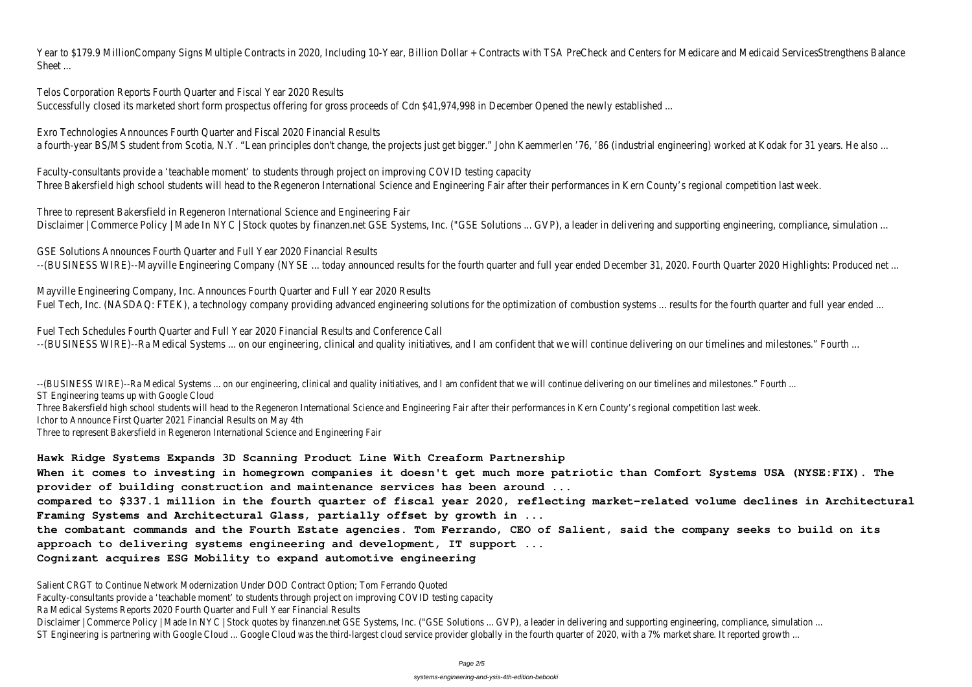Year to \$179.9 MillionCompany Signs Multiple Contracts in 2020, Including 10-Year, Billion Dollar + Contracts with TSA PreCheck and Centers for Medicare and Medicaid Sheet ...

Telos Corporation Reports Fourth Quarter and Fiscal Year 2020 Results

Successfully closed its marketed short form prospectus offering for gross proceeds of Cdn \$41,974,998 in December Opened the newly established

Exro Technologies Announces Fourth Quarter and Fiscal 2020 Financial Results a fourth-year BS/MS student from Scotia, N.Y. "Lean principles don't change, the projects just get bigger." John Kaemmerlen '76, '86 (industrial engineering) worked at Ko

Faculty-consultants provide a 'teachable moment' to students through project on improving COVID testing capacit Three Bakersfield high school students will head to the Regeneron International Science and Engineering Fair after their performances in Kern County's regional competition

Three to represent Bakersfield in Regeneron International Science and Engineering Fair Disclaimer | Commerce Policy | Made In NYC | Stock quotes by finanzen.net GSE Systems, Inc. ("GSE Solutions ... GVP), a leader in delivering and supporting engineering, co

GSE Solutions Announces Fourth Quarter and Full Year 2020 Financial Results --(BUSINESS WIRE)--Mayville Engineering Company (NYSE ... today announced results for the fourth quarter and full year ended December 31, 2020. Fourth Quarter 2020

Mayville Engineering Company, Inc. Announces Fourth Quarter and Full Year 2020 Results Fuel Tech, Inc. (NASDAQ: FTEK), a technology company providing advanced engineering solutions for the optimization of combustion systems ... results for the fourth quarter and full year ended to full year ended to the full

Fuel Tech Schedules Fourth Quarter and Full Year 2020 Financial Results and Conference Call --(BUSINESS WIRE)--Ra Medical Systems ... on our engineering, clinical and quality initiatives, and I am confident that we will continue delivering on our timelines and miles

--(BUSINESS WIRE)--Ra Medical Systems ... on our engineering, clinical and quality initiatives, and I am confident that we will continue delivering on our timelines and milestones." Fourth ST Engineering teams up with Google Cloud

Salient CRGT to Continue Network Modernization Under DOD Contract Option; Tom Ferrando Quoted Faculty-consultants provide a 'teachable moment' to students through project on improving COVID testing capacity Ra Medical Systems Reports 2020 Fourth Quarter and Full Year Financial Results Disclaimer | Commerce Policy | Made In NYC | Stock quotes by finanzen.net GSE Systems, Inc. ("GSE Solutions ... GVP), a leader in delivering and supporting engineering, compliance, simu ST Engineering is partnering with Google Cloud ... Google Cloud was the third-largest cloud service provider globally in the fourth quarter of 2020, with a 7% market share. It reported

Three Bakersfield high school students will head to the Regeneron International Science and Engineering Fair after their performances in Kern County's regional competition last week. Ichor to Announce First Quarter 2021 Financial Results on May 4th

Three to represent Bakersfield in Regeneron International Science and Engineering Fair

**Hawk Ridge Systems Expands 3D Scanning Product Line With Creaform Partnership**

**When it comes to investing in homegrown companies it doesn't get much more patriotic than Comfort Systems USA (NYSE:FIX). The provider of building construction and maintenance services has been around ...**

**compared to \$337.1 million in the fourth quarter of fiscal year 2020, reflecting market-related volume declines in Architectural Framing Systems and Architectural Glass, partially offset by growth in ...**

**the combatant commands and the Fourth Estate agencies. Tom Ferrando, CEO of Salient, said the company seeks to build on its approach to delivering systems engineering and development, IT support ...**

**Cognizant acquires ESG Mobility to expand automotive engineering**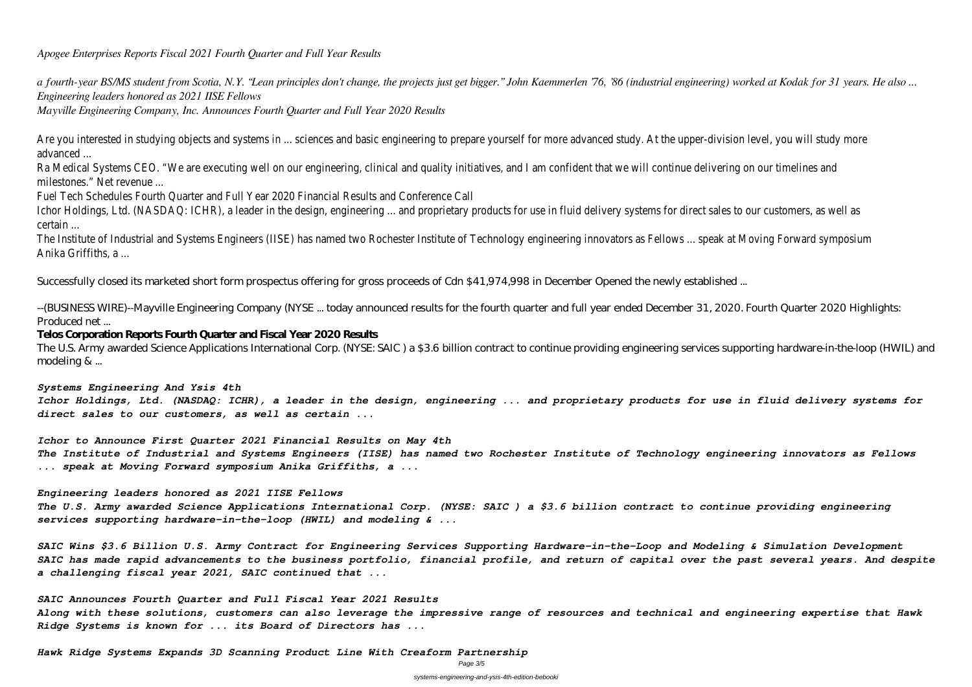*Apogee Enterprises Reports Fiscal 2021 Fourth Quarter and Full Year Results*

*a fourth-year BS/MS student from Scotia, N.Y. "Lean principles don't change, the projects just get bigger." John Kaemmerlen '76, '86 (industrial engineering) worked at Kodak for 31 years. He also ... Engineering leaders honored as 2021 IISE Fellows*

Are you interested in studying objects and systems in ... sciences and basic engineering to prepare yourself for more advanced study. At the upper-division level, you interested in studying objects and systems in ... scien advanced ...

*Mayville Engineering Company, Inc. Announces Fourth Quarter and Full Year 2020 Results*

Ra Medical Systems CEO. "We are executing well on our engineering, clinical and quality initiatives, and I am confident that we will continue delivering on our milestones." Net revenue ...

Ichor Holdings, Ltd. (NASDAQ: ICHR), a leader in the design, engineering ... and proprietary products for use in fluid delivery systems for direct sales to our customers, as well as well as well as well as well as well as certain ...

The Institute of Industrial and Systems Engineers (IISE) has named two Rochester Institute of Technology engineering innovators as Fellows ... speak at Moving Anika Griffiths, a ...

Fuel Tech Schedules Fourth Quarter and Full Year 2020 Financial Results and Conference Call

Successfully closed its marketed short form prospectus offering for gross proceeds of Cdn \$41,974,998 in December Opened the newly established ...

--(BUSINESS WIRE)--Mayville Engineering Company (NYSE ... today announced results for the fourth quarter and full year ended December 31, 2020. Fourth Quarter 2020 Highlights: Produced net ...

## **Telos Corporation Reports Fourth Quarter and Fiscal Year 2020 Results**

The U.S. Army awarded Science Applications International Corp. (NYSE: SAIC ) a \$3.6 billion contract to continue providing engineering services supporting hardware-in-the-loop (HWIL) and modeling & ...

### *Systems Engineering And Ysis 4th*

*Ichor Holdings, Ltd. (NASDAQ: ICHR), a leader in the design, engineering ... and proprietary products for use in fluid delivery systems for direct sales to our customers, as well as certain ...*

*Ichor to Announce First Quarter 2021 Financial Results on May 4th The Institute of Industrial and Systems Engineers (IISE) has named two Rochester Institute of Technology engineering innovators as Fellows ... speak at Moving Forward symposium Anika Griffiths, a ...*

*Engineering leaders honored as 2021 IISE Fellows*

*The U.S. Army awarded Science Applications International Corp. (NYSE: SAIC ) a \$3.6 billion contract to continue providing engineering services supporting hardware-in-the-loop (HWIL) and modeling & ...*

*SAIC Wins \$3.6 Billion U.S. Army Contract for Engineering Services Supporting Hardware-in-the-Loop and Modeling & Simulation Development SAIC has made rapid advancements to the business portfolio, financial profile, and return of capital over the past several years. And despite a challenging fiscal year 2021, SAIC continued that ...*

*SAIC Announces Fourth Quarter and Full Fiscal Year 2021 Results Along with these solutions, customers can also leverage the impressive range of resources and technical and engineering expertise that Hawk Ridge Systems is known for ... its Board of Directors has ...*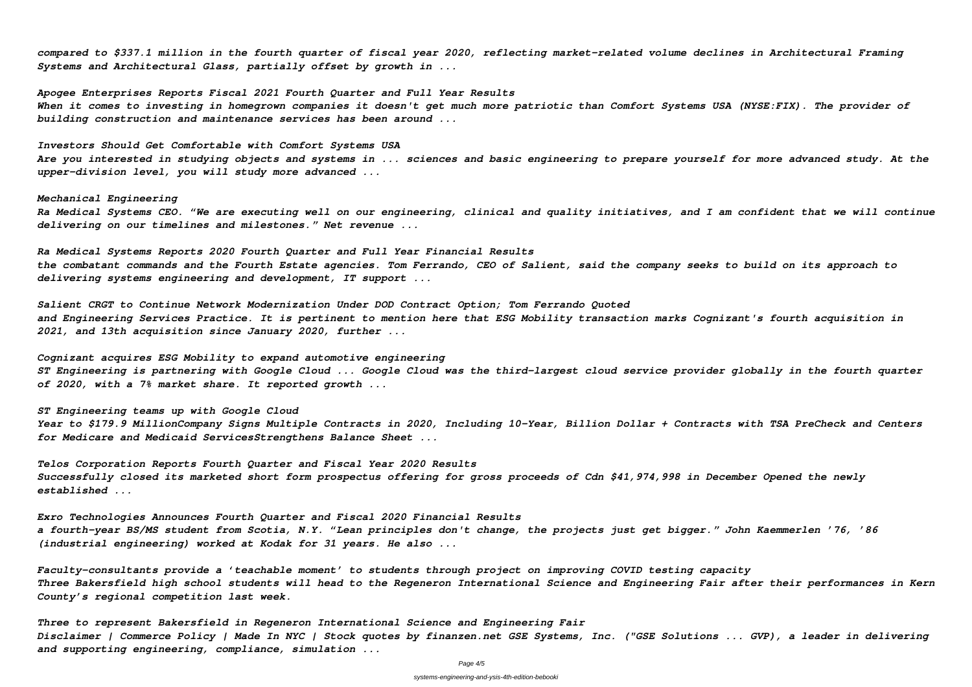*compared to \$337.1 million in the fourth quarter of fiscal year 2020, reflecting market-related volume declines in Architectural Framing Systems and Architectural Glass, partially offset by growth in ...*

*Apogee Enterprises Reports Fiscal 2021 Fourth Quarter and Full Year Results When it comes to investing in homegrown companies it doesn't get much more patriotic than Comfort Systems USA (NYSE:FIX). The provider of building construction and maintenance services has been around ...*

*Investors Should Get Comfortable with Comfort Systems USA Are you interested in studying objects and systems in ... sciences and basic engineering to prepare yourself for more advanced study. At the upper-division level, you will study more advanced ...*

*Mechanical Engineering Ra Medical Systems CEO. "We are executing well on our engineering, clinical and quality initiatives, and I am confident that we will continue delivering on our timelines and milestones." Net revenue ...*

*Ra Medical Systems Reports 2020 Fourth Quarter and Full Year Financial Results the combatant commands and the Fourth Estate agencies. Tom Ferrando, CEO of Salient, said the company seeks to build on its approach to delivering systems engineering and development, IT support ...*

*Salient CRGT to Continue Network Modernization Under DOD Contract Option; Tom Ferrando Quoted and Engineering Services Practice. It is pertinent to mention here that ESG Mobility transaction marks Cognizant's fourth acquisition in 2021, and 13th acquisition since January 2020, further ...*

*Cognizant acquires ESG Mobility to expand automotive engineering ST Engineering is partnering with Google Cloud ... Google Cloud was the third-largest cloud service provider globally in the fourth quarter of 2020, with a 7% market share. It reported growth ...*

*ST Engineering teams up with Google Cloud Year to \$179.9 MillionCompany Signs Multiple Contracts in 2020, Including 10-Year, Billion Dollar + Contracts with TSA PreCheck and Centers for Medicare and Medicaid ServicesStrengthens Balance Sheet ...*

*Telos Corporation Reports Fourth Quarter and Fiscal Year 2020 Results Successfully closed its marketed short form prospectus offering for gross proceeds of Cdn \$41,974,998 in December Opened the newly established ...*

*Exro Technologies Announces Fourth Quarter and Fiscal 2020 Financial Results a fourth-year BS/MS student from Scotia, N.Y. "Lean principles don't change, the projects just get bigger." John Kaemmerlen '76, '86 (industrial engineering) worked at Kodak for 31 years. He also ...*

*Faculty-consultants provide a 'teachable moment' to students through project on improving COVID testing capacity Three Bakersfield high school students will head to the Regeneron International Science and Engineering Fair after their performances in Kern County's regional competition last week.*

*Three to represent Bakersfield in Regeneron International Science and Engineering Fair Disclaimer | Commerce Policy | Made In NYC | Stock quotes by finanzen.net GSE Systems, Inc. ("GSE Solutions ... GVP), a leader in delivering and supporting engineering, compliance, simulation ...*